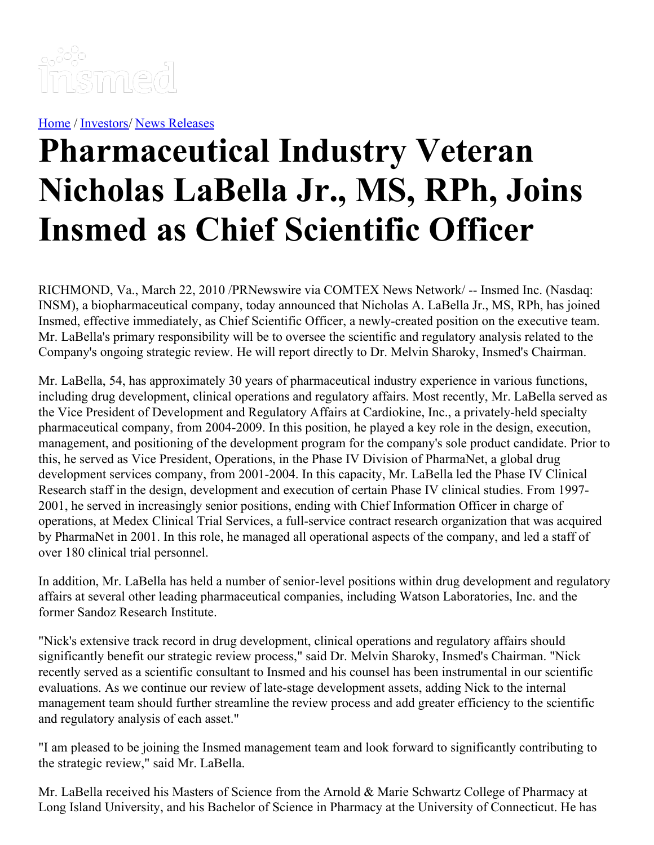

[Home](https://insmed.com/) / [Investors](https://investor.insmed.com/index)/ News [Releases](https://investor.insmed.com/releases)

## **Pharmaceutical Industry Veteran Nicholas LaBella Jr., MS, RPh, Joins Insmed as Chief Scientific Officer**

RICHMOND, Va., March 22, 2010 /PRNewswire via COMTEX News Network/ -- Insmed Inc. (Nasdaq: INSM), a biopharmaceutical company, today announced that Nicholas A. LaBella Jr., MS, RPh, has joined Insmed, effective immediately, as Chief Scientific Officer, a newly-created position on the executive team. Mr. LaBella's primary responsibility will be to oversee the scientific and regulatory analysis related to the Company's ongoing strategic review. He will report directly to Dr. Melvin Sharoky, Insmed's Chairman.

Mr. LaBella, 54, has approximately 30 years of pharmaceutical industry experience in various functions, including drug development, clinical operations and regulatory affairs. Most recently, Mr. LaBella served as the Vice President of Development and Regulatory Affairs at Cardiokine, Inc., a privately-held specialty pharmaceutical company, from 2004-2009. In this position, he played a key role in the design, execution, management, and positioning of the development program for the company's sole product candidate. Prior to this, he served as Vice President, Operations, in the Phase IV Division of PharmaNet, a global drug development services company, from 2001-2004. In this capacity, Mr. LaBella led the Phase IV Clinical Research staff in the design, development and execution of certain Phase IV clinical studies. From 1997- 2001, he served in increasingly senior positions, ending with Chief Information Officer in charge of operations, at Medex Clinical Trial Services, a full-service contract research organization that was acquired by PharmaNet in 2001. In this role, he managed all operational aspects of the company, and led a staff of over 180 clinical trial personnel.

In addition, Mr. LaBella has held a number of senior-level positions within drug development and regulatory affairs at several other leading pharmaceutical companies, including Watson Laboratories, Inc. and the former Sandoz Research Institute.

"Nick's extensive track record in drug development, clinical operations and regulatory affairs should significantly benefit our strategic review process," said Dr. Melvin Sharoky, Insmed's Chairman. "Nick recently served as a scientific consultant to Insmed and his counsel has been instrumental in our scientific evaluations. As we continue our review of late-stage development assets, adding Nick to the internal management team should further streamline the review process and add greater efficiency to the scientific and regulatory analysis of each asset."

"I am pleased to be joining the Insmed management team and look forward to significantly contributing to the strategic review," said Mr. LaBella.

Mr. LaBella received his Masters of Science from the Arnold & Marie Schwartz College of Pharmacy at Long Island University, and his Bachelor of Science in Pharmacy at the University of Connecticut. He has